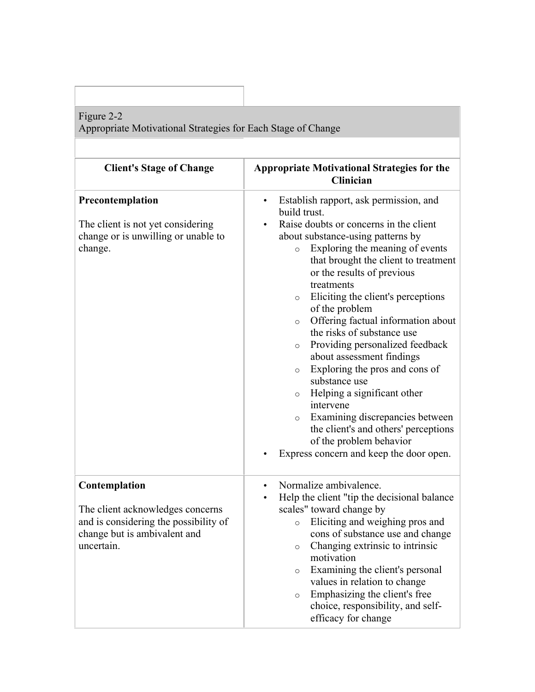## Figure 2-2

Appropriate Motivational Strategies for Each Stage of Change

| <b>Client's Stage of Change</b>                                                                                                          | <b>Appropriate Motivational Strategies for the</b><br>Clinician                                                                                                                                                                                                                                                                                                                                                                                                                                                                                                                                                                                                                                                                                                                       |
|------------------------------------------------------------------------------------------------------------------------------------------|---------------------------------------------------------------------------------------------------------------------------------------------------------------------------------------------------------------------------------------------------------------------------------------------------------------------------------------------------------------------------------------------------------------------------------------------------------------------------------------------------------------------------------------------------------------------------------------------------------------------------------------------------------------------------------------------------------------------------------------------------------------------------------------|
| Precontemplation<br>The client is not yet considering<br>change or is unwilling or unable to<br>change.                                  | Establish rapport, ask permission, and<br>build trust.<br>Raise doubts or concerns in the client<br>about substance-using patterns by<br>Exploring the meaning of events<br>$\circ$<br>that brought the client to treatment<br>or the results of previous<br>treatments<br>Eliciting the client's perceptions<br>$\circ$<br>of the problem<br>Offering factual information about<br>$\circ$<br>the risks of substance use<br>Providing personalized feedback<br>$\circ$<br>about assessment findings<br>Exploring the pros and cons of<br>$\circ$<br>substance use<br>Helping a significant other<br>$\circ$<br>intervene<br>Examining discrepancies between<br>$\circ$<br>the client's and others' perceptions<br>of the problem behavior<br>Express concern and keep the door open. |
| Contemplation<br>The client acknowledges concerns<br>and is considering the possibility of<br>change but is ambivalent and<br>uncertain. | Normalize ambivalence.<br>$\bullet$<br>Help the client "tip the decisional balance"<br>$\bullet$<br>scales" toward change by<br>Eliciting and weighing pros and<br>$\circ$<br>cons of substance use and change<br>Changing extrinsic to intrinsic<br>$\circ$<br>motivation<br>Examining the client's personal<br>$\circ$<br>values in relation to change<br>Emphasizing the client's free<br>$\circ$<br>choice, responsibility, and self-<br>efficacy for change                                                                                                                                                                                                                                                                                                                      |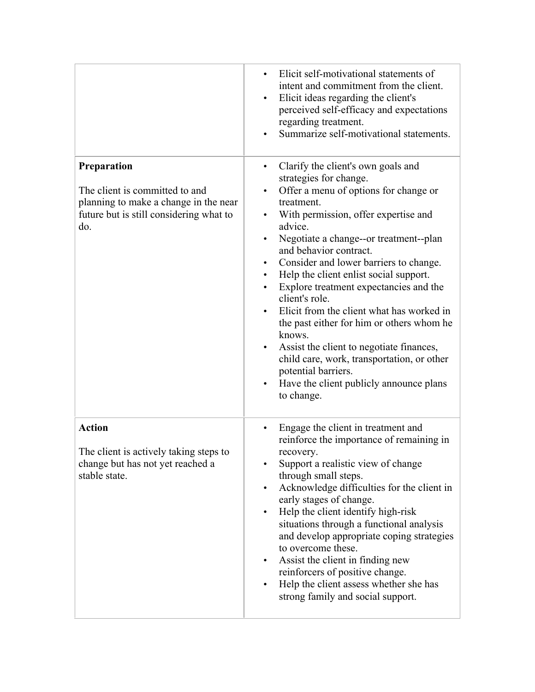|                                                                                                                                          | Elicit self-motivational statements of<br>intent and commitment from the client.<br>Elicit ideas regarding the client's<br>$\bullet$<br>perceived self-efficacy and expectations<br>regarding treatment.<br>Summarize self-motivational statements.                                                                                                                                                                                                                                                                                                                                                                                                                                                                          |
|------------------------------------------------------------------------------------------------------------------------------------------|------------------------------------------------------------------------------------------------------------------------------------------------------------------------------------------------------------------------------------------------------------------------------------------------------------------------------------------------------------------------------------------------------------------------------------------------------------------------------------------------------------------------------------------------------------------------------------------------------------------------------------------------------------------------------------------------------------------------------|
| Preparation<br>The client is committed to and<br>planning to make a change in the near<br>future but is still considering what to<br>do. | Clarify the client's own goals and<br>strategies for change.<br>Offer a menu of options for change or<br>$\bullet$<br>treatment.<br>With permission, offer expertise and<br>advice.<br>Negotiate a change--or treatment--plan<br>$\bullet$<br>and behavior contract.<br>Consider and lower barriers to change.<br>$\bullet$<br>Help the client enlist social support.<br>$\bullet$<br>Explore treatment expectancies and the<br>client's role.<br>Elicit from the client what has worked in<br>the past either for him or others whom he<br>knows.<br>Assist the client to negotiate finances,<br>child care, work, transportation, or other<br>potential barriers.<br>Have the client publicly announce plans<br>to change. |
| <b>Action</b><br>The client is actively taking steps to<br>change but has not yet reached a<br>stable state.                             | Engage the client in treatment and<br>$\bullet$<br>reinforce the importance of remaining in<br>recovery.<br>Support a realistic view of change<br>through small steps.<br>Acknowledge difficulties for the client in<br>$\bullet$<br>early stages of change.<br>Help the client identify high-risk<br>$\bullet$<br>situations through a functional analysis<br>and develop appropriate coping strategies<br>to overcome these.<br>Assist the client in finding new<br>reinforcers of positive change.<br>Help the client assess whether she has<br>$\bullet$<br>strong family and social support.                                                                                                                            |